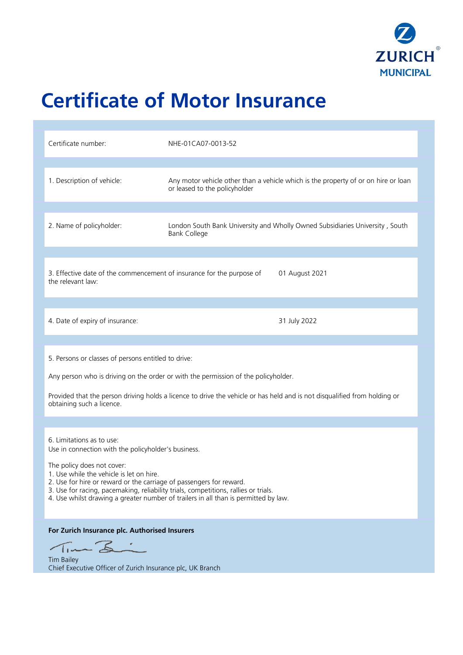

# **Certificate of Motor Insurance**

| Certificate number:                                                                                                                                                                                                                                                                                                                                                                                             | NHE-01CA07-0013-52                                                                                                  |
|-----------------------------------------------------------------------------------------------------------------------------------------------------------------------------------------------------------------------------------------------------------------------------------------------------------------------------------------------------------------------------------------------------------------|---------------------------------------------------------------------------------------------------------------------|
| 1. Description of vehicle:                                                                                                                                                                                                                                                                                                                                                                                      | Any motor vehicle other than a vehicle which is the property of or on hire or loan<br>or leased to the policyholder |
| 2. Name of policyholder:                                                                                                                                                                                                                                                                                                                                                                                        | London South Bank University and Wholly Owned Subsidiaries University, South<br><b>Bank College</b>                 |
| 3. Effective date of the commencement of insurance for the purpose of<br>01 August 2021<br>the relevant law:                                                                                                                                                                                                                                                                                                    |                                                                                                                     |
| 4. Date of expiry of insurance:                                                                                                                                                                                                                                                                                                                                                                                 | 31 July 2022                                                                                                        |
| 5. Persons or classes of persons entitled to drive:<br>Any person who is driving on the order or with the permission of the policyholder.<br>Provided that the person driving holds a licence to drive the vehicle or has held and is not disqualified from holding or<br>obtaining such a licence.                                                                                                             |                                                                                                                     |
| 6. Limitations as to use:<br>Use in connection with the policyholder's business.<br>The policy does not cover:<br>1. Use while the vehicle is let on hire.<br>2. Use for hire or reward or the carriage of passengers for reward.<br>3. Use for racing, pacemaking, reliability trials, competitions, rallies or trials.<br>4. Use whilst drawing a greater number of trailers in all than is permitted by law. |                                                                                                                     |
| For Zurich Insurance plc. Authorised Insurers<br>Tim Bi<br><b>Tim Bailey</b><br>Chief Executive Officer of Zurich Insurance plc, UK Branch                                                                                                                                                                                                                                                                      |                                                                                                                     |